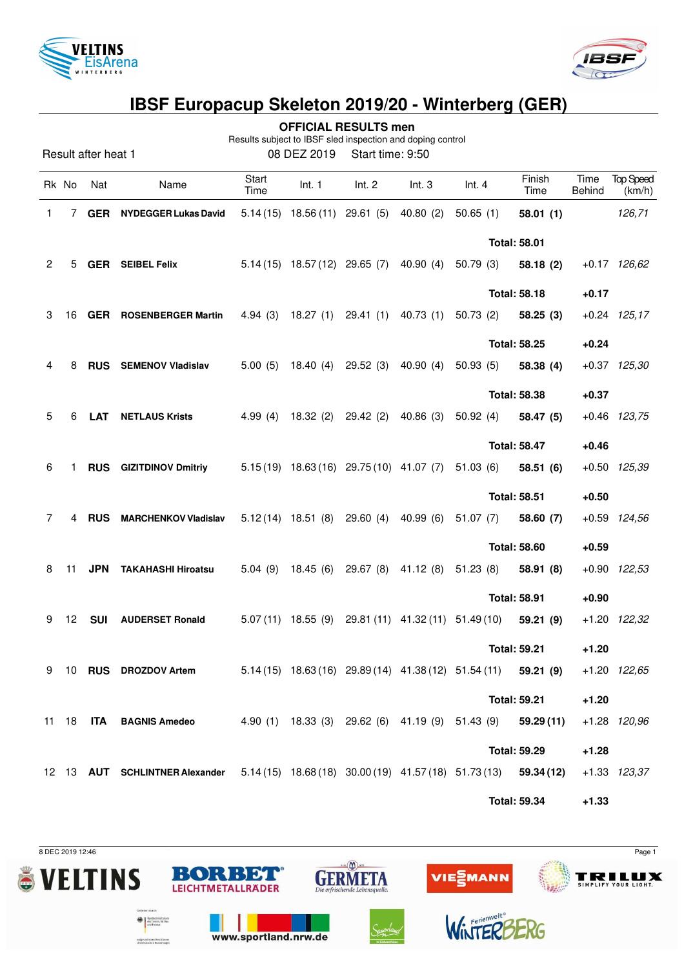



|                                                                                                                      |       |                     |                                                                                                 |               |                                 | <b>OFFICIAL RESULTS men</b>             |                                                  |                                                             |                     |                |                            |
|----------------------------------------------------------------------------------------------------------------------|-------|---------------------|-------------------------------------------------------------------------------------------------|---------------|---------------------------------|-----------------------------------------|--------------------------------------------------|-------------------------------------------------------------|---------------------|----------------|----------------------------|
| Results subject to IBSF sled inspection and doping control<br>Result after heat 1<br>08 DEZ 2019<br>Start time: 9:50 |       |                     |                                                                                                 |               |                                 |                                         |                                                  |                                                             |                     |                |                            |
|                                                                                                                      | Rk No | Nat                 | Name                                                                                            | Start<br>Time | Int. 1                          | Int. 2                                  | Int.3                                            | Int.4                                                       | Finish<br>Time      | Time<br>Behind | <b>Top Speed</b><br>(km/h) |
| 1                                                                                                                    | 7     | <b>GER</b>          | <b>NYDEGGER Lukas David</b>                                                                     |               | $5.14(15)$ 18.56 (11) 29.61 (5) |                                         | 40.80(2)                                         | 50.65(1)                                                    | 58.01(1)            |                | 126,71                     |
|                                                                                                                      |       |                     |                                                                                                 |               |                                 |                                         |                                                  |                                                             | <b>Total: 58.01</b> |                |                            |
| $\overline{2}$                                                                                                       | 5     |                     | <b>GER</b> SEIBEL Felix                                                                         |               |                                 | $5.14(15)$ 18.57(12) 29.65(7)           | 40.90 (4)                                        | 50.79(3)                                                    | 58.18(2)            |                | $+0.17$ 126,62             |
|                                                                                                                      |       |                     |                                                                                                 |               |                                 |                                         |                                                  |                                                             | <b>Total: 58.18</b> | $+0.17$        |                            |
| 3                                                                                                                    | 16    |                     | <b>GER ROSENBERGER Martin</b>                                                                   | 4.94(3)       |                                 | 18.27 (1) 29.41 (1)                     | 40.73(1)                                         | 50.73 (2)                                                   | 58.25(3)            |                | $+0.24$ 125,17             |
|                                                                                                                      |       | <b>Total: 58.25</b> |                                                                                                 |               |                                 | $+0.24$                                 |                                                  |                                                             |                     |                |                            |
| 4                                                                                                                    | 8     |                     | RUS SEMENOV Vladislav                                                                           | 5.00(5)       |                                 | 18.40 (4) 29.52 (3)                     | 40.90(4)                                         | 50.93(5)                                                    | 58.38 (4)           |                | $+0.37$ $125,30$           |
|                                                                                                                      |       |                     |                                                                                                 |               |                                 |                                         |                                                  |                                                             | <b>Total: 58.38</b> | $+0.37$        |                            |
| 5                                                                                                                    | 6     | <b>LAT</b>          | <b>NETLAUS Krists</b>                                                                           | 4.99 $(4)$    |                                 | 18.32 (2) 29.42 (2)                     | 40.86(3)                                         | 50.92(4)                                                    | 58.47 (5)           |                | $+0.46$ 123,75             |
|                                                                                                                      |       |                     |                                                                                                 |               |                                 |                                         |                                                  |                                                             | <b>Total: 58.47</b> | $+0.46$        |                            |
| 6                                                                                                                    | 1     |                     | <b>RUS</b> GIZITDINOV Dmitriy                                                                   |               |                                 | $5.15(19)$ 18.63(16) 29.75(10) 41.07(7) |                                                  | 51.03(6)                                                    | 58.51 (6)           |                | $+0.50$ $125,39$           |
|                                                                                                                      |       |                     |                                                                                                 |               |                                 |                                         |                                                  |                                                             | <b>Total: 58.51</b> | $+0.50$        |                            |
| 7                                                                                                                    | 4     | <b>RUS</b>          | <b>MARCHENKOV Vladislav</b>                                                                     |               |                                 | $5.12(14)$ 18.51 (8) 29.60 (4)          | 40.99(6)                                         | 51.07(7)                                                    | 58.60(7)            |                | +0.59 124,56               |
|                                                                                                                      |       |                     |                                                                                                 |               |                                 |                                         |                                                  | <b>Total: 58.60</b>                                         |                     | $+0.59$        |                            |
| 8                                                                                                                    | 11    | <b>JPN</b>          | <b>TAKAHASHI Hiroatsu</b>                                                                       |               |                                 |                                         | 5.04 (9) 18.45 (6) 29.67 (8) 41.12 (8) 51.23 (8) |                                                             | 58.91 (8)           |                | $+0.90$ 122,53             |
|                                                                                                                      |       |                     |                                                                                                 |               |                                 |                                         |                                                  |                                                             | <b>Total: 58.91</b> | $+0.90$        |                            |
| 9                                                                                                                    | 12    | <b>SUI</b>          | <b>AUDERSET Ronald</b>                                                                          |               |                                 |                                         |                                                  | $5.07(11)$ 18.55 (9) 29.81 (11) 41.32 (11) 51.49 (10)       | 59.21(9)            |                | +1.20 122,32               |
|                                                                                                                      |       |                     |                                                                                                 |               |                                 |                                         |                                                  |                                                             | <b>Total: 59.21</b> | $+1.20$        |                            |
|                                                                                                                      |       |                     | 9 10 RUS DROZDOV Artem                                                                          |               |                                 |                                         |                                                  | $5.14(15)$ 18.63(16) 29.89(14) 41.38(12) 51.54(11) 59.21(9) |                     |                | +1.20 122,65               |
|                                                                                                                      |       |                     |                                                                                                 |               |                                 |                                         |                                                  |                                                             | <b>Total: 59.21</b> | $+1.20$        |                            |
|                                                                                                                      |       |                     | 11 18 ITA BAGNIS Amedeo                                                                         |               |                                 |                                         |                                                  | 4.90 (1) 18.33 (3) 29.62 (6) 41.19 (9) 51.43 (9) 59.29 (11) |                     |                | +1.28 120,96               |
|                                                                                                                      |       |                     |                                                                                                 |               |                                 |                                         |                                                  |                                                             | <b>Total: 59.29</b> | $+1.28$        |                            |
|                                                                                                                      |       |                     | 12 13 AUT SCHLINTNER Alexander 5.14 (15) 18.68 (18) 30.00 (19) 41.57 (18) 51.73 (13) 59.34 (12) |               |                                 |                                         |                                                  |                                                             |                     |                | $+1.33$ $123.37$           |
|                                                                                                                      |       |                     |                                                                                                 |               |                                 |                                         |                                                  |                                                             | <b>Total: 59.34</b> | $+1.33$        |                            |

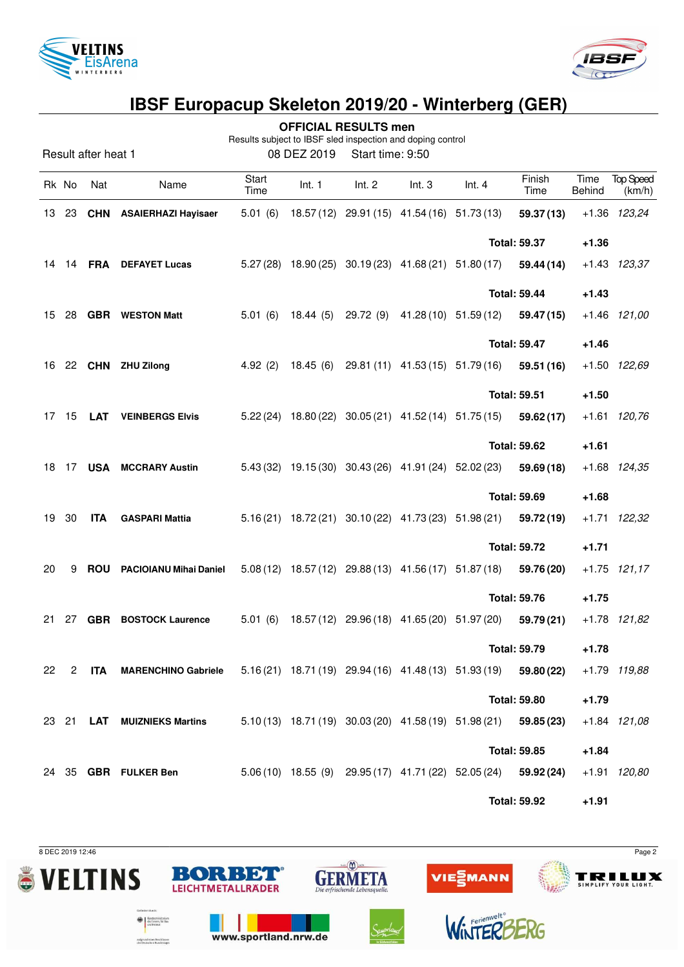



|                                                                                                                      |              |                   |                                |               |        | <b>OFFICIAL RESULTS men</b>                 |       |                                                                  |                     |                |                            |
|----------------------------------------------------------------------------------------------------------------------|--------------|-------------------|--------------------------------|---------------|--------|---------------------------------------------|-------|------------------------------------------------------------------|---------------------|----------------|----------------------------|
| Results subject to IBSF sled inspection and doping control<br>08 DEZ 2019<br>Result after heat 1<br>Start time: 9:50 |              |                   |                                |               |        |                                             |       |                                                                  |                     |                |                            |
|                                                                                                                      | Rk No        | Nat               | Name                           | Start<br>Time | Int. 1 | Int. 2                                      | Int.3 | Int.4                                                            | Finish<br>Time      | Time<br>Behind | <b>Top Speed</b><br>(km/h) |
| 13                                                                                                                   | 23           |                   | <b>CHN</b> ASAIERHAZI Hayisaer | 5.01(6)       |        | 18.57 (12) 29.91 (15) 41.54 (16) 51.73 (13) |       |                                                                  | 59.37 (13)          |                | +1.36 123,24               |
|                                                                                                                      |              |                   |                                |               |        |                                             |       |                                                                  | <b>Total: 59.37</b> | $+1.36$        |                            |
|                                                                                                                      |              | 14  14 <b>FRA</b> | <b>DEFAYET Lucas</b>           |               |        |                                             |       | 5.27 (28) 18.90 (25) 30.19 (23) 41.68 (21) 51.80 (17)            | 59.44 (14)          |                | $+1.43$ 123,37             |
|                                                                                                                      |              |                   |                                |               |        |                                             |       |                                                                  | <b>Total: 59.44</b> | $+1.43$        |                            |
| 15                                                                                                                   | 28           |                   | <b>GBR</b> WESTON Matt         |               |        |                                             |       | 5.01 (6) 18.44 (5) 29.72 (9) 41.28 (10) 51.59 (12)               | 59.47 (15)          |                | $+1.46$ $121,00$           |
|                                                                                                                      |              |                   |                                |               |        |                                             |       | <b>Total: 59.47</b><br>$+1.46$                                   |                     |                |                            |
|                                                                                                                      |              |                   | 16 22 CHN ZHU Zilong           | 4.92(2)       |        |                                             |       | 18.45 (6) 29.81 (11) 41.53 (15) 51.79 (16)                       | 59.51 (16)          |                | +1.50 122,69               |
|                                                                                                                      |              |                   |                                |               |        |                                             |       | <b>Total: 59.51</b>                                              |                     | $+1.50$        |                            |
|                                                                                                                      | 17 15        | LAT               | <b>VEINBERGS Elvis</b>         |               |        |                                             |       | 5.22 (24) 18.80 (22) 30.05 (21) 41.52 (14) 51.75 (15)            | 59.62 (17)          |                | $+1.61$ 120,76             |
|                                                                                                                      |              |                   |                                |               |        |                                             |       |                                                                  | <b>Total: 59.62</b> | $+1.61$        |                            |
| 18                                                                                                                   |              |                   | 17 USA MCCRARY Austin          |               |        |                                             |       | 5.43 (32) 19.15 (30) 30.43 (26) 41.91 (24) 52.02 (23)            | 59.69 (18)          |                | +1.68 124,35               |
|                                                                                                                      |              |                   |                                |               |        |                                             |       |                                                                  | <b>Total: 59.69</b> | $+1.68$        |                            |
| 19                                                                                                                   | 30           | <b>ITA</b>        | <b>GASPARI Mattia</b>          |               |        |                                             |       | 5.16 (21) 18.72 (21) 30.10 (22) 41.73 (23) 51.98 (21)            | 59.72 (19)          |                | +1.71 122,32               |
|                                                                                                                      |              |                   |                                |               |        |                                             |       | <b>Total: 59.72</b>                                              |                     | $+1.71$        |                            |
| 20                                                                                                                   | 9            |                   | ROU PACIOIANU Mihai Daniel     |               |        |                                             |       | 5.08 (12) 18.57 (12) 29.88 (13) 41.56 (17) 51.87 (18)            | 59.76 (20)          |                | $+1.75$ 121,17             |
|                                                                                                                      |              |                   |                                |               |        |                                             |       |                                                                  | <b>Total: 59.76</b> | $+1.75$        |                            |
| 21                                                                                                                   | 27           |                   | <b>GBR</b> BOSTOCK Laurence    | 5.01(6)       |        |                                             |       | 18.57 (12) 29.96 (18) 41.65 (20) 51.97 (20)                      | 59.79(21)           |                | +1.78 121,82               |
|                                                                                                                      |              |                   |                                |               |        |                                             |       |                                                                  | <b>Total: 59.79</b> | $+1.78$        |                            |
| 22                                                                                                                   | $\mathbf{2}$ |                   | ITA MARENCHINO Gabriele        |               |        |                                             |       | 5.16 (21) 18.71 (19) 29.94 (16) 41.48 (13) 51.93 (19) 59.80 (22) |                     |                | +1.79 119,88               |
|                                                                                                                      |              |                   |                                |               |        |                                             |       |                                                                  | <b>Total: 59.80</b> | $+1.79$        |                            |
|                                                                                                                      |              |                   | 23 21 LAT MUIZNIEKS Martins    |               |        |                                             |       | $5.10(13)$ 18.71(19) 30.03(20) 41.58(19) 51.98(21) 59.85(23)     |                     |                | $+1.84$ $121,08$           |
|                                                                                                                      |              |                   |                                |               |        |                                             |       |                                                                  | <b>Total: 59.85</b> | $+1.84$        |                            |
|                                                                                                                      |              |                   | 24 35 GBR FULKER Ben           |               |        |                                             |       | 5.06 (10) 18.55 (9) 29.95 (17) 41.71 (22) 52.05 (24) 59.92 (24)  |                     |                | +1.91 120,80               |
|                                                                                                                      |              |                   |                                |               |        |                                             |       |                                                                  | <b>Total: 59.92</b> | $+1.91$        |                            |



aufgrund eines Beschlusses<br>des Deutschen Bundestages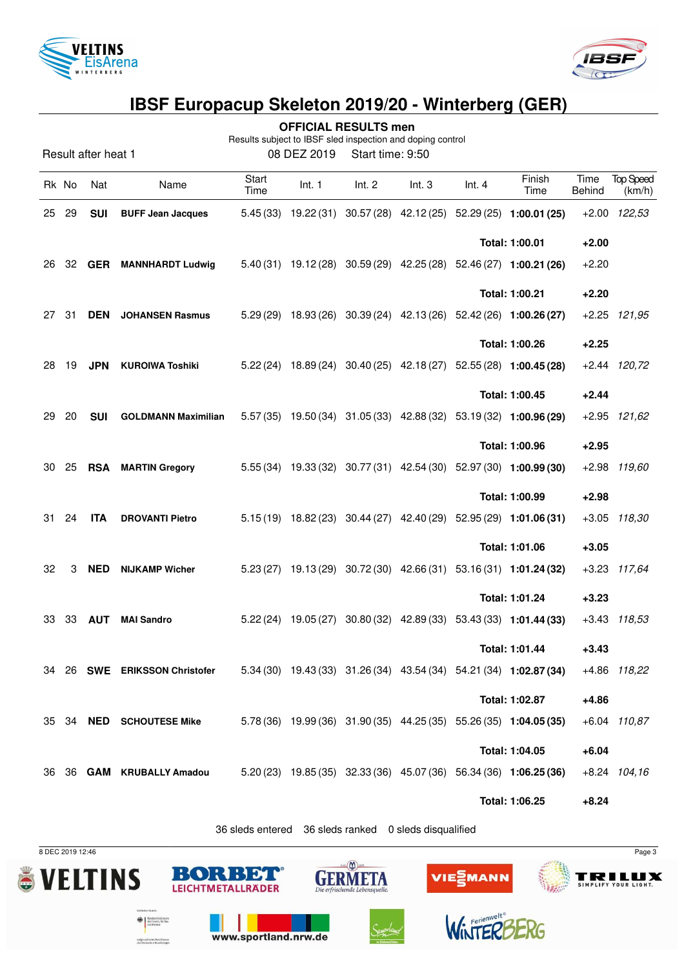



**OFFICIAL RESULTS men**

Results subject to IBSF sled inspection and doping control

Result after heat 1 08 DEZ 2019 Start time: 9:50

|    | Rk No | Nat        | Name                            | Start<br>Time | Int. 1 | Int. 2                                     | Int.3 | Int.4 | Finish<br>Time                                                     | Time<br><b>Behind</b> | <b>Top Speed</b><br>(km/h) |
|----|-------|------------|---------------------------------|---------------|--------|--------------------------------------------|-------|-------|--------------------------------------------------------------------|-----------------------|----------------------------|
| 25 | 29    | <b>SUI</b> | <b>BUFF Jean Jacques</b>        |               |        |                                            |       |       | 5.45 (33) 19.22 (31) 30.57 (28) 42.12 (25) 52.29 (25) 1:00.01 (25) |                       | +2.00 122,53               |
|    |       |            |                                 |               |        |                                            |       |       | Total: 1:00.01                                                     | $+2.00$               |                            |
| 26 | 32    | <b>GER</b> | <b>MANNHARDT Ludwig</b>         |               |        |                                            |       |       | 5.40 (31) 19.12 (28) 30.59 (29) 42.25 (28) 52.46 (27) 1:00.21 (26) | $+2.20$               |                            |
|    |       |            |                                 |               |        |                                            |       |       | Total: 1:00.21                                                     | $+2.20$               |                            |
| 27 | 31    | <b>DEN</b> | <b>JOHANSEN Rasmus</b>          |               |        |                                            |       |       | 5.29 (29) 18.93 (26) 30.39 (24) 42.13 (26) 52.42 (26) 1:00.26 (27) |                       | $+2.25$ $121,95$           |
|    |       |            |                                 |               |        |                                            |       |       | Total: 1:00.26                                                     | $+2.25$               |                            |
| 28 | 19    |            | JPN KUROIWA Toshiki             |               |        |                                            |       |       | 5.22 (24) 18.89 (24) 30.40 (25) 42.18 (27) 52.55 (28) 1:00.45 (28) |                       | $+2.44$ $120,72$           |
|    |       |            |                                 |               |        |                                            |       |       | Total: 1:00.45                                                     | $+2.44$               |                            |
| 29 | 20    | <b>SUI</b> | <b>GOLDMANN Maximilian</b>      |               |        |                                            |       |       | 5.57 (35) 19.50 (34) 31.05 (33) 42.88 (32) 53.19 (32) 1:00.96 (29) |                       | +2.95 121,62               |
|    |       |            |                                 |               |        |                                            |       |       | Total: 1:00.96                                                     | $+2.95$               |                            |
| 30 | 25    | <b>RSA</b> | <b>MARTIN Gregory</b>           |               |        |                                            |       |       | 5.55 (34) 19.33 (32) 30.77 (31) 42.54 (30) 52.97 (30) 1:00.99 (30) |                       | +2.98 119,60               |
|    |       |            |                                 |               |        |                                            |       |       | Total: 1:00.99                                                     | $+2.98$               |                            |
| 31 | 24    | <b>ITA</b> | <b>DROVANTI Pietro</b>          |               |        |                                            |       |       | 5.15(19) 18.82(23) 30.44(27) 42.40(29) 52.95(29) 1:01.06(31)       |                       | +3.05 118,30               |
|    |       |            |                                 |               |        |                                            |       |       | Total: 1:01.06                                                     | $+3.05$               |                            |
| 32 | 3     | <b>NED</b> | <b>NIJKAMP Wicher</b>           |               |        |                                            |       |       | 5.23 (27) 19.13 (29) 30.72 (30) 42.66 (31) 53.16 (31) 1:01.24 (32) |                       | +3.23 117,64               |
|    |       |            |                                 |               |        |                                            |       |       | Total: 1:01.24                                                     | $+3.23$               |                            |
| 33 | 33    | <b>AUT</b> | <b>MAI Sandro</b>               |               |        |                                            |       |       | 5.22 (24) 19.05 (27) 30.80 (32) 42.89 (33) 53.43 (33) 1:01.44 (33) |                       | $+3.43$ $118.53$           |
|    |       |            |                                 |               |        |                                            |       |       | Total: 1:01.44                                                     | $+3.43$               |                            |
| 34 | 26    | SWE        | <b>ERIKSSON Christofer</b>      |               |        | 5.34 (30) 19.43 (33) 31.26 (34) 43.54 (34) |       |       | 54.21 (34) 1:02.87 (34)                                            |                       | +4.86 118,22               |
|    |       |            |                                 |               |        |                                            |       |       | Total: 1:02.87                                                     | $+4.86$               |                            |
|    |       |            | 35 34 <b>NED SCHOUTESE Mike</b> |               |        |                                            |       |       | 5.78 (36) 19.99 (36) 31.90 (35) 44.25 (35) 55.26 (35) 1:04.05 (35) |                       | +6.04 110,87               |
|    |       |            |                                 |               |        |                                            |       |       | Total: 1:04.05                                                     | $+6.04$               |                            |
| 36 |       |            | 36 GAM KRUBALLY Amadou          |               |        |                                            |       |       | 5.20 (23) 19.85 (35) 32.33 (36) 45.07 (36) 56.34 (36) 1:06.25 (36) |                       | $+8.24$ 104,16             |
|    |       |            |                                 |               |        |                                            |       |       | Total: 1:06.25                                                     | $+8.24$               |                            |

36 sleds entered 36 sleds ranked 0 sleds disqualified

www.sportland.nrw.de

sudgrund eines Beschlussen<br>des Deutschen Bundestage